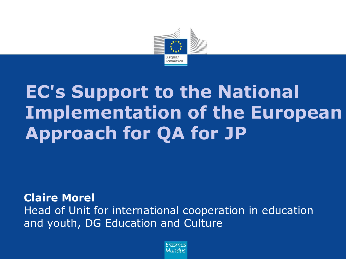

# **EC's Support to the National Implementation of the European Approach for QA for JP**

**Claire Morel** Head of Unit for international cooperation in education and youth, DG Education and Culture

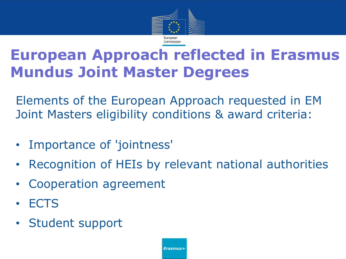

### **European Approach reflected in Erasmus Mundus Joint Master Degrees**

Elements of the European Approach requested in EM Joint Masters eligibility conditions & award criteria:

- Importance of 'jointness'
- Recognition of HEIs by relevant national authorities
- Cooperation agreement
- ECTS
- Student support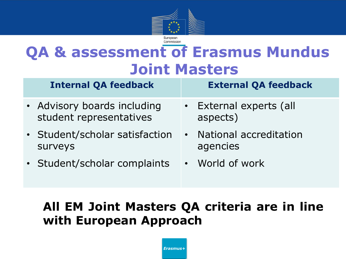

## **QA & assessment of Erasmus Mundus Joint Masters**

| <b>Internal QA feedback</b>                            | <b>External QA feedback</b>          |  |
|--------------------------------------------------------|--------------------------------------|--|
| • Advisory boards including<br>student representatives | • External experts (all<br>aspects)  |  |
| • Student/scholar satisfaction<br><b>SUrveys</b>       | • National accreditation<br>agencies |  |
| • Student/scholar complaints                           | • World of work                      |  |

#### **All EM Joint Masters QA criteria are in line with European Approach**

*Erasmus+*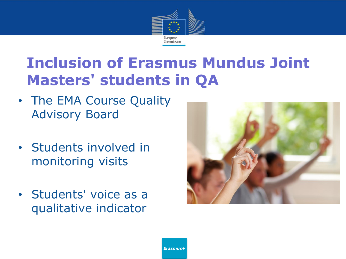

### **Inclusion of Erasmus Mundus Joint Masters' students in QA**

- The EMA Course Quality Advisory Board
- Students involved in monitoring visits
- Students' voice as a qualitative indicator



*Erasmus+*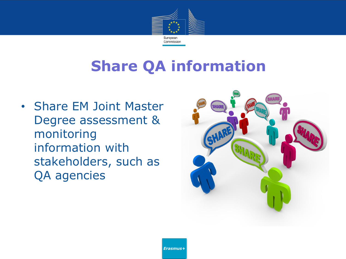

### **Share QA information**

• Share EM Joint Master Degree assessment & monitoring information with stakeholders, such as QA agencies

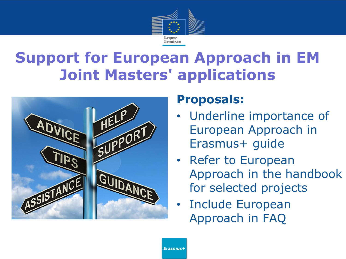

### **Support for European Approach in EM Joint Masters' applications**



#### **Proposals:**

- Underline importance of European Approach in Erasmus+ guide
- Refer to European Approach in the handbook for selected projects
- Include European Approach in FAQ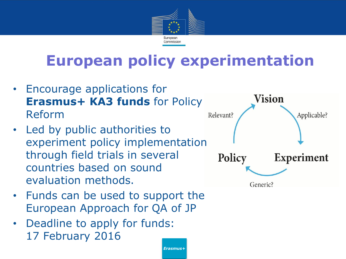

### **European policy experimentation**

*Erasmus+*

- Encourage applications for **Erasmus+ KA3 funds** for Policy Reform
- Led by public authorities to experiment policy implementation through field trials in several countries based on sound evaluation methods.
- Funds can be used to support the European Approach for QA of JP
- Deadline to apply for funds: 17 February 2016



Generic?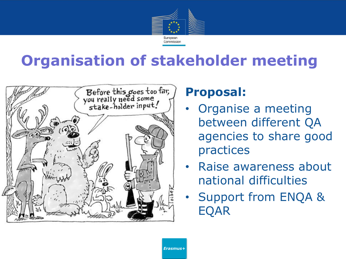![](_page_7_Picture_0.jpeg)

### **Organisation of stakeholder meeting**

![](_page_7_Picture_2.jpeg)

#### **Proposal:**

- Organise a meeting between different QA agencies to share good practices
- Raise awareness about national difficulties
- Support from ENQA & EQAR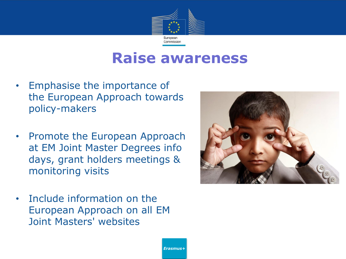![](_page_8_Picture_0.jpeg)

#### **Raise awareness**

- Emphasise the importance of the European Approach towards policy-makers
- Promote the European Approach at EM Joint Master Degrees info days, grant holders meetings & monitoring visits
- Include information on the European Approach on all EM Joint Masters' websites

![](_page_8_Picture_5.jpeg)